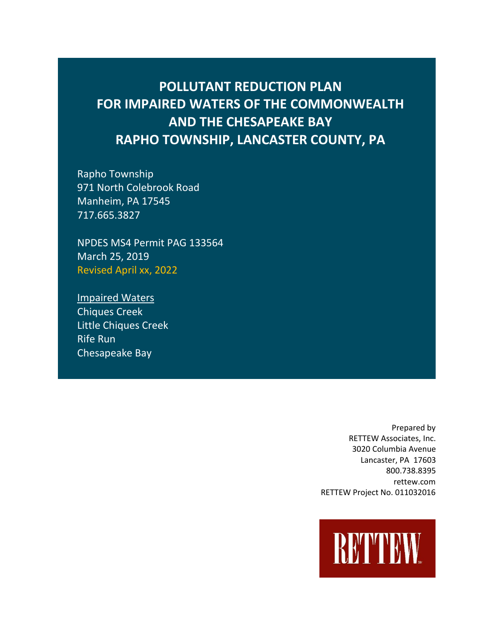# **POLLUTANT REDUCTION PLAN FOR IMPAIRED WATERS OF THE COMMONWEALTH AND THE CHESAPEAKE BAY RAPHO TOWNSHIP, LANCASTER COUNTY, PA**

Rapho Township 971 North Colebrook Road Manheim, PA 17545 717.665.3827

NPDES MS4 Permit PAG 133564 March 25, 2019 Revised April xx, 2022

Impaired Waters Chiques Creek Little Chiques Creek Rife Run Chesapeake Bay

> Prepared by RETTEW Associates, Inc. 3020 Columbia Avenue Lancaster, PA 17603 800.738.8395 rettew.com RETTEW Project No. 011032016

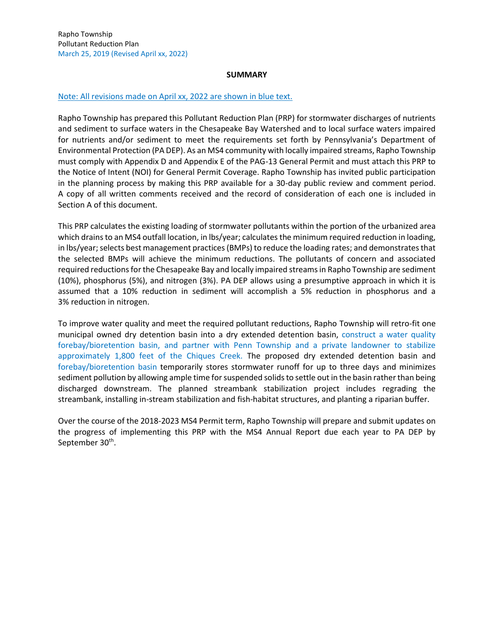### **SUMMARY**

#### Note: All revisions made on April xx, 2022 are shown in blue text.

Rapho Township has prepared this Pollutant Reduction Plan (PRP) for stormwater discharges of nutrients and sediment to surface waters in the Chesapeake Bay Watershed and to local surface waters impaired for nutrients and/or sediment to meet the requirements set forth by Pennsylvania's Department of Environmental Protection (PA DEP). As an MS4 community with locally impaired streams, Rapho Township must comply with Appendix D and Appendix E of the PAG-13 General Permit and must attach this PRP to the Notice of Intent (NOI) for General Permit Coverage. Rapho Township has invited public participation in the planning process by making this PRP available for a 30-day public review and comment period. A copy of all written comments received and the record of consideration of each one is included in Section A of this document.

This PRP calculates the existing loading of stormwater pollutants within the portion of the urbanized area which drains to an MS4 outfall location, in lbs/year; calculates the minimum required reduction in loading, in lbs/year; selects best management practices (BMPs) to reduce the loading rates; and demonstrates that the selected BMPs will achieve the minimum reductions. The pollutants of concern and associated required reductions for the Chesapeake Bay and locally impaired streams in Rapho Township are sediment (10%), phosphorus (5%), and nitrogen (3%). PA DEP allows using a presumptive approach in which it is assumed that a 10% reduction in sediment will accomplish a 5% reduction in phosphorus and a 3% reduction in nitrogen.

To improve water quality and meet the required pollutant reductions, Rapho Township will retro-fit one municipal owned dry detention basin into a dry extended detention basin, construct a water quality forebay/bioretention basin, and partner with Penn Township and a private landowner to stabilize approximately 1,800 feet of the Chiques Creek. The proposed dry extended detention basin and forebay/bioretention basin temporarily stores stormwater runoff for up to three days and minimizes sediment pollution by allowing ample time for suspended solids to settle out in the basin rather than being discharged downstream. The planned streambank stabilization project includes regrading the streambank, installing in-stream stabilization and fish-habitat structures, and planting a riparian buffer.

Over the course of the 2018-2023 MS4 Permit term, Rapho Township will prepare and submit updates on the progress of implementing this PRP with the MS4 Annual Report due each year to PA DEP by September 30<sup>th</sup>.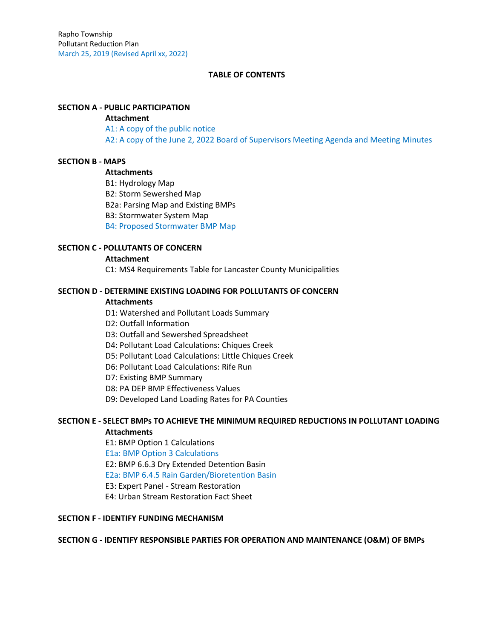# **TABLE OF CONTENTS**

# **SECTION A - PUBLIC PARTICIPATION**

#### **Attachment**

A1: A copy of the public notice A2: A copy of the June 2, 2022 Board of Supervisors Meeting Agenda and Meeting Minutes

## **SECTION B - MAPS**

# **Attachments**

B1: Hydrology Map B2: Storm Sewershed Map B2a: Parsing Map and Existing BMPs B3: Stormwater System Map B4: Proposed Stormwater BMP Map

# **SECTION C - POLLUTANTS OF CONCERN**

#### **Attachment**

C1: MS4 Requirements Table for Lancaster County Municipalities

## **SECTION D - DETERMINE EXISTING LOADING FOR POLLUTANTS OF CONCERN**

#### **Attachments**

D1: Watershed and Pollutant Loads Summary

- D2: Outfall Information
- D3: Outfall and Sewershed Spreadsheet
- D4: Pollutant Load Calculations: Chiques Creek
- D5: Pollutant Load Calculations: Little Chiques Creek
- D6: Pollutant Load Calculations: Rife Run
- D7: Existing BMP Summary
- D8: PA DEP BMP Effectiveness Values
- D9: Developed Land Loading Rates for PA Counties

# **SECTION E - SELECT BMPs TO ACHIEVE THE MINIMUM REQUIRED REDUCTIONS IN POLLUTANT LOADING Attachments**

E1: BMP Option 1 Calculations E1a: BMP Option 3 Calculations E2: BMP 6.6.3 Dry Extended Detention Basin E2a: BMP 6.4.5 Rain Garden/Bioretention Basin E3: Expert Panel - Stream Restoration E4: Urban Stream Restoration Fact Sheet

# **SECTION F - IDENTIFY FUNDING MECHANISM**

# **SECTION G - IDENTIFY RESPONSIBLE PARTIES FOR OPERATION AND MAINTENANCE (O&M) OF BMPs**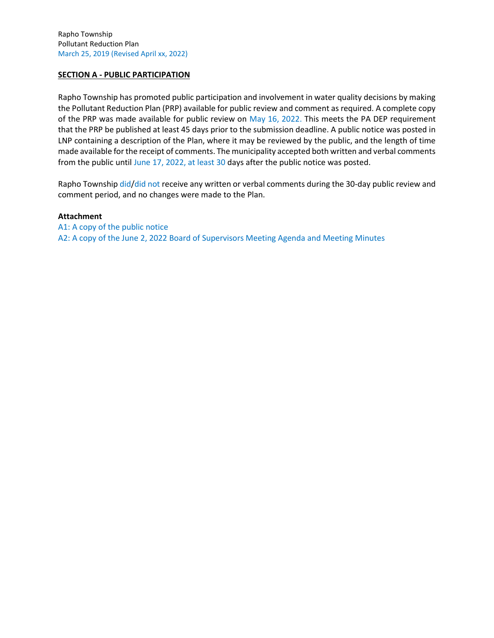# **SECTION A - PUBLIC PARTICIPATION**

Rapho Township has promoted public participation and involvement in water quality decisions by making the Pollutant Reduction Plan (PRP) available for public review and comment as required. A complete copy of the PRP was made available for public review on May 16, 2022. This meets the PA DEP requirement that the PRP be published at least 45 days prior to the submission deadline. A public notice was posted in LNP containing a description of the Plan, where it may be reviewed by the public, and the length of time made available for the receipt of comments. The municipality accepted both written and verbal comments from the public until June 17, 2022, at least 30 days after the public notice was posted.

Rapho Township did/did not receive any written or verbal comments during the 30-day public review and comment period, and no changes were made to the Plan.

## **Attachment**

A1: A copy of the public notice A2: A copy of the June 2, 2022 Board of Supervisors Meeting Agenda and Meeting Minutes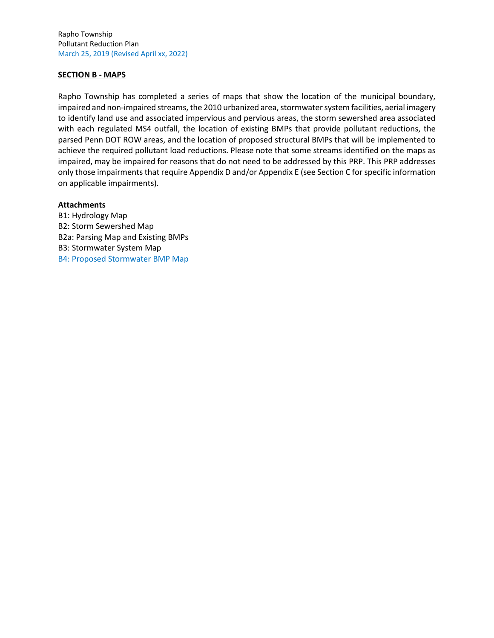Rapho Township Pollutant Reduction Plan March 25, 2019 (Revised April xx, 2022)

# **SECTION B - MAPS**

Rapho Township has completed a series of maps that show the location of the municipal boundary, impaired and non-impaired streams, the 2010 urbanized area, stormwater system facilities, aerial imagery to identify land use and associated impervious and pervious areas, the storm sewershed area associated with each regulated MS4 outfall, the location of existing BMPs that provide pollutant reductions, the parsed Penn DOT ROW areas, and the location of proposed structural BMPs that will be implemented to achieve the required pollutant load reductions. Please note that some streams identified on the maps as impaired, may be impaired for reasons that do not need to be addressed by this PRP. This PRP addresses only those impairments that require Appendix D and/or Appendix E (see Section C for specific information on applicable impairments).

#### **Attachments**

B1: Hydrology Map B2: Storm Sewershed Map B2a: Parsing Map and Existing BMPs B3: Stormwater System Map B4: Proposed Stormwater BMP Map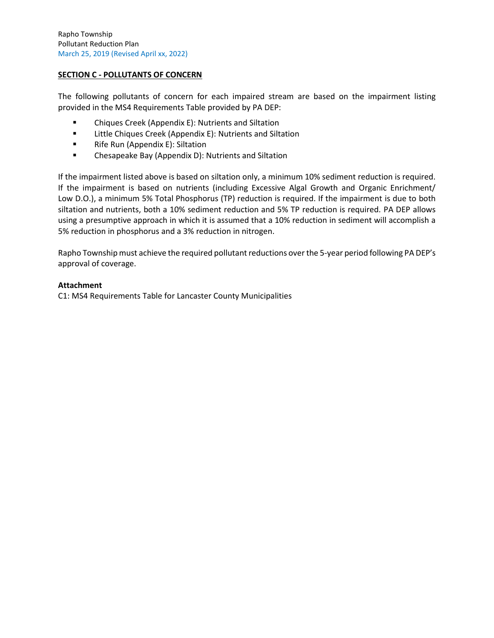# **SECTION C - POLLUTANTS OF CONCERN**

The following pollutants of concern for each impaired stream are based on the impairment listing provided in the MS4 Requirements Table provided by PA DEP:

- Chiques Creek (Appendix E): Nutrients and Siltation
- Little Chiques Creek (Appendix E): Nutrients and Siltation
- Rife Run (Appendix E): Siltation
- Chesapeake Bay (Appendix D): Nutrients and Siltation

If the impairment listed above is based on siltation only, a minimum 10% sediment reduction is required. If the impairment is based on nutrients (including Excessive Algal Growth and Organic Enrichment/ Low D.O.), a minimum 5% Total Phosphorus (TP) reduction is required. If the impairment is due to both siltation and nutrients, both a 10% sediment reduction and 5% TP reduction is required. PA DEP allows using a presumptive approach in which it is assumed that a 10% reduction in sediment will accomplish a 5% reduction in phosphorus and a 3% reduction in nitrogen.

Rapho Township must achieve the required pollutant reductions over the 5-year period following PA DEP's approval of coverage.

## **Attachment**

C1: MS4 Requirements Table for Lancaster County Municipalities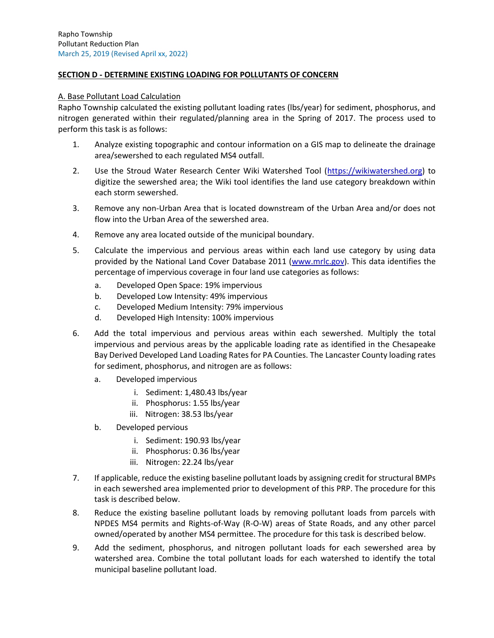# **SECTION D - DETERMINE EXISTING LOADING FOR POLLUTANTS OF CONCERN**

#### A. Base Pollutant Load Calculation

Rapho Township calculated the existing pollutant loading rates (lbs/year) for sediment, phosphorus, and nitrogen generated within their regulated/planning area in the Spring of 2017. The process used to perform this task is as follows:

- 1. Analyze existing topographic and contour information on a GIS map to delineate the drainage area/sewershed to each regulated MS4 outfall.
- 2. Use the Stroud Water Research Center Wiki Watershed Tool [\(https://wikiwatershed.org\)](https://wikiwatershed.org/)) to digitize the sewershed area; the Wiki tool identifies the land use category breakdown within each storm sewershed.
- 3. Remove any non-Urban Area that is located downstream of the Urban Area and/or does not flow into the Urban Area of the sewershed area.
- 4. Remove any area located outside of the municipal boundary.
- 5. Calculate the impervious and pervious areas within each land use category by using data provided by the National Land Cover Database 2011 [\(www.mrlc.gov\)](http://www.mrlc.gov/). This data identifies the percentage of impervious coverage in four land use categories as follows:
	- a. Developed Open Space: 19% impervious
	- b. Developed Low Intensity: 49% impervious
	- c. Developed Medium Intensity: 79% impervious
	- d. Developed High Intensity: 100% impervious
- 6. Add the total impervious and pervious areas within each sewershed. Multiply the total impervious and pervious areas by the applicable loading rate as identified in the Chesapeake Bay Derived Developed Land Loading Rates for PA Counties. The Lancaster County loading rates for sediment, phosphorus, and nitrogen are as follows:
	- a. Developed impervious
		- i. Sediment: 1,480.43 lbs/year
		- ii. Phosphorus: 1.55 lbs/year
		- iii. Nitrogen: 38.53 lbs/year
	- b. Developed pervious
		- i. Sediment: 190.93 lbs/year
		- ii. Phosphorus: 0.36 lbs/year
		- iii. Nitrogen: 22.24 lbs/year
- 7. If applicable, reduce the existing baseline pollutant loads by assigning credit for structural BMPs in each sewershed area implemented prior to development of this PRP. The procedure for this task is described below.
- 8. Reduce the existing baseline pollutant loads by removing pollutant loads from parcels with NPDES MS4 permits and Rights-of-Way (R-O-W) areas of State Roads, and any other parcel owned/operated by another MS4 permittee. The procedure for this task is described below.
- 9. Add the sediment, phosphorus, and nitrogen pollutant loads for each sewershed area by watershed area. Combine the total pollutant loads for each watershed to identify the total municipal baseline pollutant load.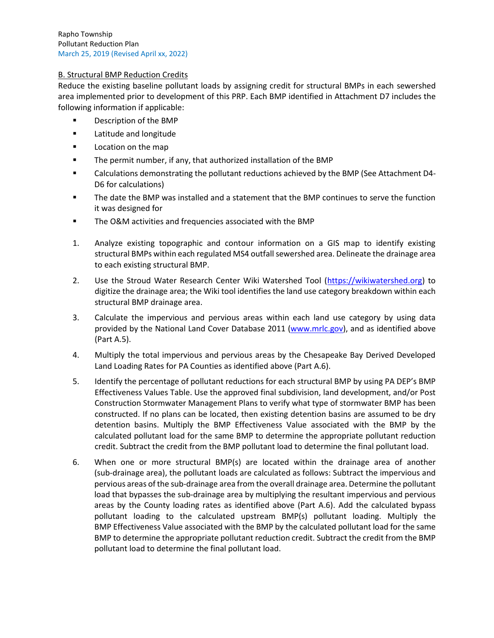# B. Structural BMP Reduction Credits

Reduce the existing baseline pollutant loads by assigning credit for structural BMPs in each sewershed area implemented prior to development of this PRP. Each BMP identified in Attachment D7 includes the following information if applicable:

- Description of the BMP
- Latitude and longitude
- Location on the map
- The permit number, if any, that authorized installation of the BMP
- Calculations demonstrating the pollutant reductions achieved by the BMP (See Attachment D4- D6 for calculations)
- The date the BMP was installed and a statement that the BMP continues to serve the function it was designed for
- The O&M activities and frequencies associated with the BMP
- 1. Analyze existing topographic and contour information on a GIS map to identify existing structural BMPs within each regulated MS4 outfall sewershed area. Delineate the drainage area to each existing structural BMP.
- 2. Use the Stroud Water Research Center Wiki Watershed Tool [\(https://wikiwatershed.org\)](https://wikiwatershed.org/) to digitize the drainage area; the Wiki tool identifies the land use category breakdown within each structural BMP drainage area.
- 3. Calculate the impervious and pervious areas within each land use category by using data provided by the National Land Cover Database 2011 [\(www.mrlc.gov\)](http://www.mrlc.gov/), and as identified above (Part A.5).
- 4. Multiply the total impervious and pervious areas by the Chesapeake Bay Derived Developed Land Loading Rates for PA Counties as identified above (Part A.6).
- 5. Identify the percentage of pollutant reductions for each structural BMP by using PA DEP's BMP Effectiveness Values Table. Use the approved final subdivision, land development, and/or Post Construction Stormwater Management Plans to verify what type of stormwater BMP has been constructed. If no plans can be located, then existing detention basins are assumed to be dry detention basins. Multiply the BMP Effectiveness Value associated with the BMP by the calculated pollutant load for the same BMP to determine the appropriate pollutant reduction credit. Subtract the credit from the BMP pollutant load to determine the final pollutant load.
- 6. When one or more structural BMP(s) are located within the drainage area of another (sub-drainage area), the pollutant loads are calculated as follows: Subtract the impervious and pervious areas of the sub-drainage area from the overall drainage area. Determine the pollutant load that bypasses the sub-drainage area by multiplying the resultant impervious and pervious areas by the County loading rates as identified above (Part A.6). Add the calculated bypass pollutant loading to the calculated upstream BMP(s) pollutant loading. Multiply the BMP Effectiveness Value associated with the BMP by the calculated pollutant load for the same BMP to determine the appropriate pollutant reduction credit. Subtract the credit from the BMP pollutant load to determine the final pollutant load.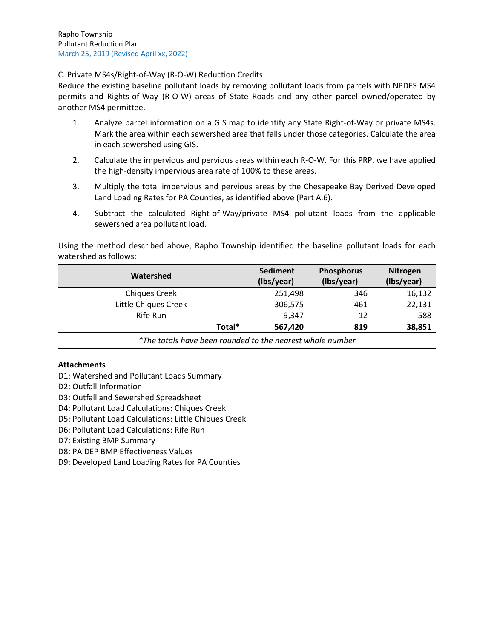# C. Private MS4s/Right-of-Way (R-O-W) Reduction Credits

Reduce the existing baseline pollutant loads by removing pollutant loads from parcels with NPDES MS4 permits and Rights-of-Way (R-O-W) areas of State Roads and any other parcel owned/operated by another MS4 permittee.

- 1. Analyze parcel information on a GIS map to identify any State Right-of-Way or private MS4s. Mark the area within each sewershed area that falls under those categories. Calculate the area in each sewershed using GIS.
- 2. Calculate the impervious and pervious areas within each R-O-W. For this PRP, we have applied the high-density impervious area rate of 100% to these areas.
- 3. Multiply the total impervious and pervious areas by the Chesapeake Bay Derived Developed Land Loading Rates for PA Counties, as identified above (Part A.6).
- 4. Subtract the calculated Right-of-Way/private MS4 pollutant loads from the applicable sewershed area pollutant load.

Using the method described above, Rapho Township identified the baseline pollutant loads for each watershed as follows:

| Watershed                                                 | Sediment<br>(Ibs/year) | <b>Phosphorus</b><br>(Ibs/year) | <b>Nitrogen</b><br>(Ibs/year) |
|-----------------------------------------------------------|------------------------|---------------------------------|-------------------------------|
| <b>Chiques Creek</b>                                      | 251,498                | 346                             | 16,132                        |
| Little Chiques Creek                                      | 306,575                | 461                             | 22,131                        |
| Rife Run                                                  | 9,347                  | 12                              | 588                           |
| Total*                                                    | 567,420                | 819                             | 38,851                        |
| *The totals have been rounded to the nearest whole number |                        |                                 |                               |

# **Attachments**

- D1: Watershed and Pollutant Loads Summary
- D2: Outfall Information
- D3: Outfall and Sewershed Spreadsheet
- D4: Pollutant Load Calculations: Chiques Creek
- D5: Pollutant Load Calculations: Little Chiques Creek
- D6: Pollutant Load Calculations: Rife Run
- D7: Existing BMP Summary
- D8: PA DEP BMP Effectiveness Values
- D9: Developed Land Loading Rates for PA Counties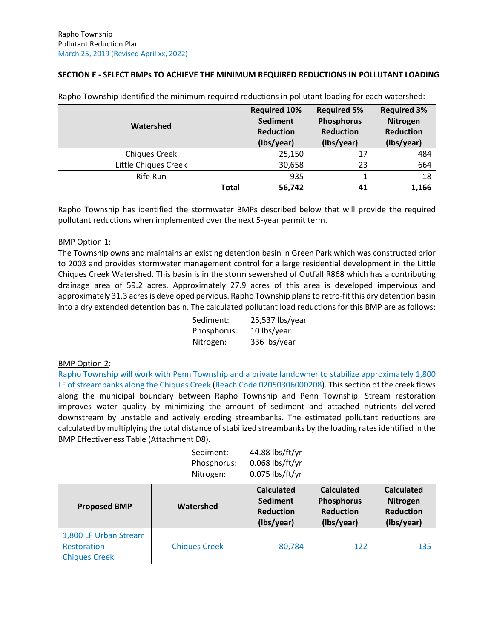# **SECTION E - SELECT BMPs TO ACHIEVE THE MINIMUM REQUIRED REDUCTIONS IN POLLUTANT LOADING**

| Watershed            | <b>Required 10%</b><br><b>Sediment</b><br><b>Reduction</b><br>(Ibs/year) | <b>Required 5%</b><br><b>Phosphorus</b><br><b>Reduction</b><br>(Ibs/year) | <b>Required 3%</b><br>Nitrogen<br><b>Reduction</b><br>(Ibs/year) |
|----------------------|--------------------------------------------------------------------------|---------------------------------------------------------------------------|------------------------------------------------------------------|
| <b>Chiques Creek</b> | 25,150                                                                   | 17                                                                        | 484                                                              |
| Little Chiques Creek | 30,658                                                                   | 23                                                                        | 664                                                              |
| Rife Run             | 935                                                                      |                                                                           | 18                                                               |
| <b>Total</b>         | 56,742                                                                   | 41                                                                        | 1,166                                                            |

Rapho Township identified the minimum required reductions in pollutant loading for each watershed:

Rapho Township has identified the stormwater BMPs described below that will provide the required pollutant reductions when implemented over the next 5-year permit term.

## BMP Option 1:

The Township owns and maintains an existing detention basin in Green Park which was constructed prior to 2003 and provides stormwater management control for a large residential development in the Little Chiques Creek Watershed. This basin is in the storm sewershed of Outfall R868 which has a contributing drainage area of 59.2 acres. Approximately 27.9 acres of this area is developed impervious and approximately 31.3 acres is developed pervious. Rapho Township plans to retro-fit this dry detention basin into a dry extended detention basin. The calculated pollutant load reductions for this BMP are as follows:

| Sediment:   | 25,537 lbs/year |
|-------------|-----------------|
| Phosphorus: | 10 lbs/year     |
| Nitrogen:   | 336 lbs/year    |

# BMP Option 2:

Rapho Township will work with Penn Township and a private landowner to stabilize approximately 1,800 LF of streambanks along the Chiques Creek (Reach Code 02050306000208). This section of the creek flows along the municipal boundary between Rapho Township and Penn Township. Stream restoration improves water quality by minimizing the amount of sediment and attached nutrients delivered downstream by unstable and actively eroding streambanks. The estimated pollutant reductions are calculated by multiplying the total distance of stabilized streambanks by the loading rates identified in the BMP Effectiveness Table (Attachment D8).

| Sediment:   | 44.88 lbs/ft/yr   |
|-------------|-------------------|
| Phosphorus: | $0.068$ lbs/ft/yr |
| Nitrogen:   | 0.075 lbs/ft/yr   |

| <b>Proposed BMP</b>                                                   | Watershed            | <b>Calculated</b><br><b>Sediment</b><br><b>Reduction</b><br>(Ibs/year) | <b>Calculated</b><br><b>Phosphorus</b><br><b>Reduction</b><br>(Ibs/year) | <b>Calculated</b><br>Nitrogen<br><b>Reduction</b><br>(Ibs/year) |
|-----------------------------------------------------------------------|----------------------|------------------------------------------------------------------------|--------------------------------------------------------------------------|-----------------------------------------------------------------|
| 1,800 LF Urban Stream<br><b>Restoration -</b><br><b>Chiques Creek</b> | <b>Chiques Creek</b> | 80,784                                                                 | 122                                                                      | 135                                                             |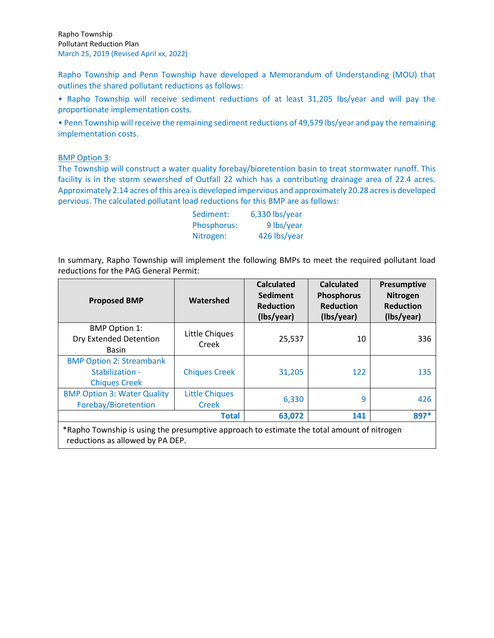Rapho Township and Penn Township have developed a Memorandum of Understanding (MOU) that outlines the shared pollutant reductions as follows:

• Rapho Township will receive sediment reductions of at least 31,205 lbs/year and will pay the proportionate implementation costs.

• Penn Township will receive the remaining sediment reductions of 49,579 lbs/year and pay the remaining implementation costs.

# BMP Option 3:

The Township will construct a water quality forebay/bioretention basin to treat stormwater runoff. This facility is in the storm sewershed of Outfall 22 which has a contributing drainage area of 22.4 acres. Approximately 2.14 acres of this area is developed impervious and approximately 20.28 acres is developed pervious. The calculated pollutant load reductions for this BMP are as follows:

| Sediment:   | 6,330 lbs/year |
|-------------|----------------|
| Phosphorus: | 9 lbs/year     |
| Nitrogen:   | 426 lbs/year   |

In summary, Rapho Township will implement the following BMPs to meet the required pollutant load reductions for the PAG General Permit:

| <b>Proposed BMP</b>                                                                        | Watershed                             | <b>Calculated</b><br><b>Sediment</b><br><b>Reduction</b><br>(Ibs/year) | <b>Calculated</b><br><b>Phosphorus</b><br><b>Reduction</b><br>(Ibs/year) | Presumptive<br><b>Nitrogen</b><br><b>Reduction</b><br>(Ibs/year) |
|--------------------------------------------------------------------------------------------|---------------------------------------|------------------------------------------------------------------------|--------------------------------------------------------------------------|------------------------------------------------------------------|
| <b>BMP Option 1:</b><br>Dry Extended Detention<br><b>Basin</b>                             | Little Chiques<br>Creek               | 25,537                                                                 | 10                                                                       | 336                                                              |
| <b>BMP Option 2: Streambank</b><br>Stabilization -<br><b>Chiques Creek</b>                 | <b>Chiques Creek</b>                  | 31,205                                                                 | 122                                                                      | 135                                                              |
| <b>BMP Option 3: Water Quality</b><br>Forebay/Bioretention                                 | <b>Little Chiques</b><br><b>Creek</b> | 6,330                                                                  | 9                                                                        | 426                                                              |
| *Rapho Township is using the presumptive approach to estimate the total amount of nitrogen | <b>Total</b>                          | 63,072                                                                 | 141                                                                      | 897*                                                             |

reductions as allowed by PA DEP.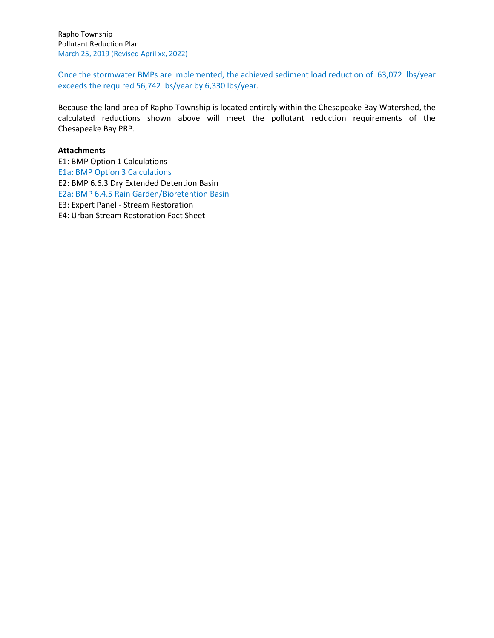Rapho Township Pollutant Reduction Plan March 25, 2019 (Revised April xx, 2022)

Once the stormwater BMPs are implemented, the achieved sediment load reduction of 63,072 lbs/year exceeds the required 56,742 lbs/year by 6,330 lbs/year.

Because the land area of Rapho Township is located entirely within the Chesapeake Bay Watershed, the calculated reductions shown above will meet the pollutant reduction requirements of the Chesapeake Bay PRP.

# **Attachments**

E1: BMP Option 1 Calculations E1a: BMP Option 3 Calculations E2: BMP 6.6.3 Dry Extended Detention Basin E2a: BMP 6.4.5 Rain Garden/Bioretention Basin E3: Expert Panel - Stream Restoration E4: Urban Stream Restoration Fact Sheet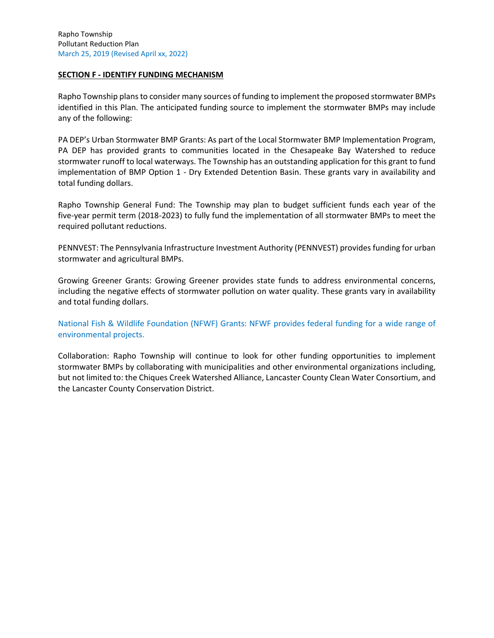# **SECTION F - IDENTIFY FUNDING MECHANISM**

Rapho Township plans to consider many sources of funding to implement the proposed stormwater BMPs identified in this Plan. The anticipated funding source to implement the stormwater BMPs may include any of the following:

PA DEP's Urban Stormwater BMP Grants: As part of the Local Stormwater BMP Implementation Program, PA DEP has provided grants to communities located in the Chesapeake Bay Watershed to reduce stormwater runoff to local waterways. The Township has an outstanding application for this grant to fund implementation of BMP Option 1 - Dry Extended Detention Basin. These grants vary in availability and total funding dollars.

Rapho Township General Fund: The Township may plan to budget sufficient funds each year of the five-year permit term (2018-2023) to fully fund the implementation of all stormwater BMPs to meet the required pollutant reductions.

PENNVEST: The Pennsylvania Infrastructure Investment Authority (PENNVEST) provides funding for urban stormwater and agricultural BMPs.

Growing Greener Grants: Growing Greener provides state funds to address environmental concerns, including the negative effects of stormwater pollution on water quality. These grants vary in availability and total funding dollars.

National Fish & Wildlife Foundation (NFWF) Grants: NFWF provides federal funding for a wide range of environmental projects.

Collaboration: Rapho Township will continue to look for other funding opportunities to implement stormwater BMPs by collaborating with municipalities and other environmental organizations including, but not limited to: the Chiques Creek Watershed Alliance, Lancaster County Clean Water Consortium, and the Lancaster County Conservation District.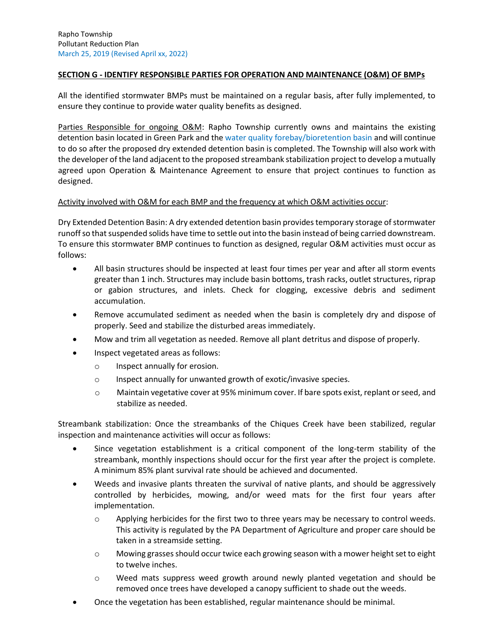# **SECTION G - IDENTIFY RESPONSIBLE PARTIES FOR OPERATION AND MAINTENANCE (O&M) OF BMPs**

All the identified stormwater BMPs must be maintained on a regular basis, after fully implemented, to ensure they continue to provide water quality benefits as designed.

Parties Responsible for ongoing O&M: Rapho Township currently owns and maintains the existing detention basin located in Green Park and the water quality forebay/bioretention basin and will continue to do so after the proposed dry extended detention basin is completed. The Township will also work with the developer of the land adjacent to the proposed streambank stabilization project to develop a mutually agreed upon Operation & Maintenance Agreement to ensure that project continues to function as designed.

#### Activity involved with O&M for each BMP and the frequency at which O&M activities occur:

Dry Extended Detention Basin: A dry extended detention basin provides temporary storage of stormwater runoff so that suspended solids have time to settle out into the basin instead of being carried downstream. To ensure this stormwater BMP continues to function as designed, regular O&M activities must occur as follows:

- All basin structures should be inspected at least four times per year and after all storm events greater than 1 inch. Structures may include basin bottoms, trash racks, outlet structures, riprap or gabion structures, and inlets. Check for clogging, excessive debris and sediment accumulation.
- Remove accumulated sediment as needed when the basin is completely dry and dispose of properly. Seed and stabilize the disturbed areas immediately.
- Mow and trim all vegetation as needed. Remove all plant detritus and dispose of properly.
- Inspect vegetated areas as follows:
	- o Inspect annually for erosion.
	- $\circ$  Inspect annually for unwanted growth of exotic/invasive species.
	- o Maintain vegetative cover at 95% minimum cover. If bare spots exist, replant or seed, and stabilize as needed.

Streambank stabilization: Once the streambanks of the Chiques Creek have been stabilized, regular inspection and maintenance activities will occur as follows:

- Since vegetation establishment is a critical component of the long-term stability of the streambank, monthly inspections should occur for the first year after the project is complete. A minimum 85% plant survival rate should be achieved and documented.
- Weeds and invasive plants threaten the survival of native plants, and should be aggressively controlled by herbicides, mowing, and/or weed mats for the first four years after implementation.
	- $\circ$  Applying herbicides for the first two to three years may be necessary to control weeds. This activity is regulated by the PA Department of Agriculture and proper care should be taken in a streamside setting.
	- o Mowing grasses should occur twice each growing season with a mower height set to eight to twelve inches.
	- $\circ$  Weed mats suppress weed growth around newly planted vegetation and should be removed once trees have developed a canopy sufficient to shade out the weeds.
- Once the vegetation has been established, regular maintenance should be minimal.